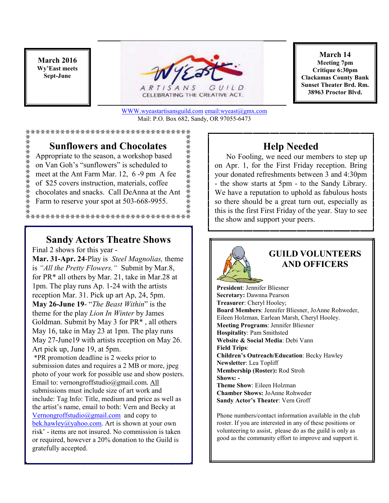**March 2016 Wy'East meets Sept-June** 

禁禁禁禁禁禁禁禁禁禁禁



CELEBRATING THE CREATIVE ACT.

WWW.wyeastartisansguild.com email:wyeast@gmx.com Mail: P.O. Box 682, Sandy, OR 97055-6473

黄荠荠荠荠荠荠

#### \*\*\*\*\*\*\*\*\*\*\*\*\*\*\*\*\*\*\*\*\*\*\*\*\*\*\*\*\*\*\*\*

## **Sunflowers and Chocolates**

Appropriate to the season, a workshop based on Van Goh's "sunflowers" is scheduled to meet at the Ant Farm Mar. 12, 6 -9 pm A fee of \$25 covers instruction, materials, coffee chocolates and snacks. Call DeAnna at the Ant Farm to reserve your spot at 503-668-9955.

## **Sandy Actors Theatre Shows**

Final 2 shows for this year -

**Mar. 31-Apr. 24**-Play is *Steel Magnolias,* theme is *"All the Pretty Flowers."* Submit by Mar.8, for PR\* all others by Mar. 21, take in Mar.28 at 1pm. The play runs Ap. 1-24 with the artists reception Mar. 31. Pick up art Ap, 24, 5pm. **May 26-June 19**- "*The Beast Within*" is the theme for the play *Lion In Winter* by James Goldman. Submit by May 3 for PR\* , all others May 16, take in May 23 at 1pm. The play runs May 27-June19 with artists reception on May 26. Art pick up, June 19, at 5pm.

 \*PR promotion deadline is 2 weeks prior to submission dates and requires a 2 MB or more, jpeg photo of your work for possible use and show posters. Email to: vernongroffstudio@gmail.com. All submissions must include size of art work and include: Tag Info: Title, medium and price as well as the artist's name, email to both: Vern and Becky at Vernongroffstudio@gmail.com and copy to bek.hawley@yahoo.com. Art is shown at your own risk' - items are not insured. No commission is taken or required, however a 20% donation to the Guild is gratefully accepted.

**March 14 Meeting 7pm Critique 6:30pm Clackamas County Bank Sunset Theater Brd. Rm. 38963 Proctor Blvd.**

## **Help Needed**

 No Fooling, we need our members to step up on Apr. 1, for the First Friday reception. Bring your donated refreshments between 3 and 4:30pm - the show starts at 5pm - to the Sandy Library. We have a reputation to uphold as fabulous hosts so there should be a great turn out, especially as this is the first First Friday of the year. Stay to see the show and support your peers.



## **GUILD VOLUNTEERS AND OFFICERS**

**President**: Jennifer Bliesner **Secretary:** Dawnna Pearson **Treasurer**: Cheryl Hooley; **Board Members**: Jennifer Bliesner, JoAnne Rohweder, Eileen Holzman, Earlean Marsh, Cheryl Hooley. **Meeting Programs**: Jennifer Bliesner **Hospitality**: Pam Smithsted **Website & Social Media**: Debi Vann **Field Trips**: **Children's Outreach/Education**: Becky Hawley **Newsletter**: Lea Topliff **Membership (Roster):** Rod Stroh **Shows: - Theme Show**: Eileen Holzman **Chamber Shows:** JoAnne Rohweder **Sandy Actor's Theater**: Vern Groff

Phone numbers/contact information available in the club roster. If you are interested in any of these positions or volunteering to assist, please do as the guild is only as good as the community effort to improve and support it.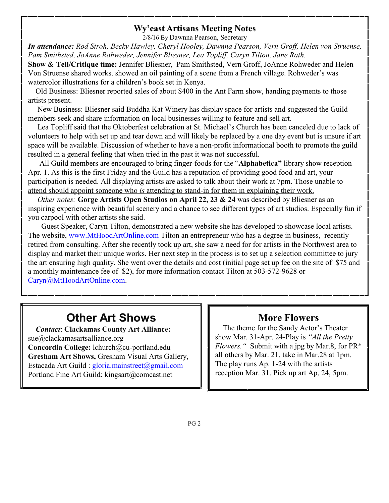### **Wy'east Artisans Meeting Notes**

2/8/16 By Dawnna Pearson, Secretary

*In attendance: Rod Stroh, Becky Hawley, Cheryl Hooley, Dawnna Pearson, Vern Groff, Helen von Struense, Pam Smithsted, JoAnne Rohweder, Jennifer Bliesner, Lea Topliff, Caryn Tilton, Jane Rath.* 

**Show & Tell/Critique time:** Jennifer Bliesner, Pam Smithsted, Vern Groff, JoAnne Rohweder and Helen Von Struense shared works. showed an oil painting of a scene from a French village. Rohweder's was watercolor illustrations for a children's book set in Kenya.

 Old Business: Bliesner reported sales of about \$400 in the Ant Farm show, handing payments to those artists present.

 New Business: Bliesner said Buddha Kat Winery has display space for artists and suggested the Guild members seek and share information on local businesses willing to feature and sell art.

 Lea Topliff said that the Oktoberfest celebration at St. Michael's Church has been canceled due to lack of volunteers to help with set up and tear down and will likely be replaced by a one day event but is unsure if art space will be available. Discussion of whether to have a non-profit informational booth to promote the guild resulted in a general feeling that when tried in the past it was not successful.

 All Guild members are encouraged to bring finger-foods for the "**Alphabetica"** library show reception Apr. 1. As this is the first Friday and the Guild has a reputation of providing good food and art, your participation is needed. All displaying artists are asked to talk about their work at 7pm. Those unable to attend should appoint someone who *is* attending to stand-in for them in explaining their work.

*Other notes:* **Gorge Artists Open Studios on April 22, 23 & 24** was described by Bliesner as an inspiring experience with beautiful scenery and a chance to see different types of art studios. Especially fun if you carpool with other artists she said.

 Guest Speaker, Caryn Tilton, demonstrated a new website she has developed to showcase local artists. The website, www.MtHoodArtOnline.com Tilton an entrepreneur who has a degree in business, recently retired from consulting. After she recently took up art, she saw a need for for artists in the Northwest area to display and market their unique works. Her next step in the process is to set up a selection committee to jury the art ensuring high quality. She went over the details and cost (initial page set up fee on the site of \$75 and a monthly maintenance fee of \$2), for more information contact Tilton at 503-572-9628 or Caryn@MtHoodArtOnline.com.

# **Other Art Shows**

 *Contact*: **Clackamas County Art Alliance:**  sue@clackamasartsalliance.org **Concordia College:** lchurch@cu-portland.edu **Gresham Art Shows,** Gresham Visual Arts Gallery, Estacada Art Guild : gloria.mainstreet@gmail.com Portland Fine Art Guild: kingsart@comcast.net

## **More Flowers**

 The theme for the Sandy Actor's Theater show Mar. 31-Apr. 24-Play is *"All the Pretty Flowers."* Submit with a jpg by Mar.8, for PR\* all others by Mar. 21, take in Mar.28 at 1pm. The play runs Ap. 1-24 with the artists reception Mar. 31. Pick up art Ap, 24, 5pm.